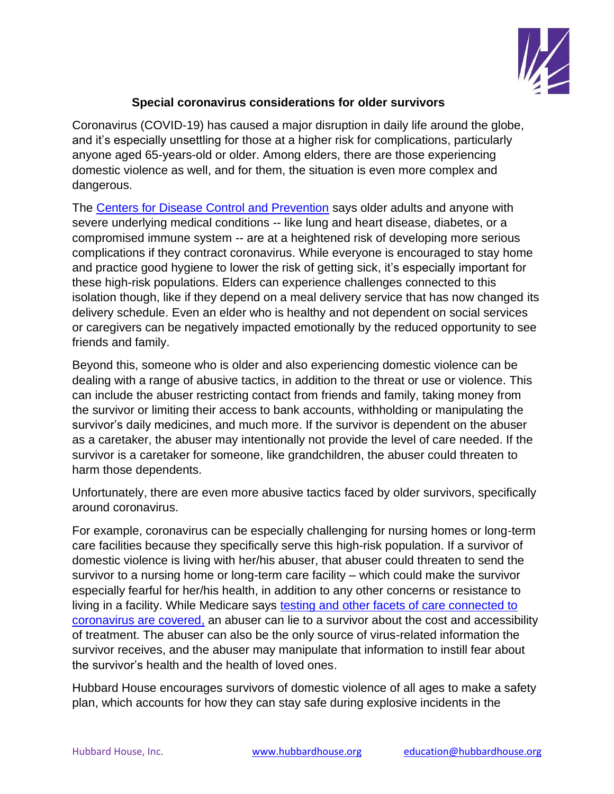

## **Special coronavirus considerations for older survivors**

Coronavirus (COVID-19) has caused a major disruption in daily life around the globe, and it's especially unsettling for those at a higher risk for complications, particularly anyone aged 65-years-old or older. Among elders, there are those experiencing domestic violence as well, and for them, the situation is even more complex and dangerous.

The [Centers for Disease Control and Prevention](https://www.cdc.gov/coronavirus/2019-ncov/need-extra-precautions/older-adults.html) says older adults and anyone with severe underlying medical conditions -- like lung and heart disease, diabetes, or a compromised immune system -- are at a heightened risk of developing more serious complications if they contract coronavirus. While everyone is encouraged to stay home and practice good hygiene to lower the risk of getting sick, it's especially important for these high-risk populations. Elders can experience challenges connected to this isolation though, like if they depend on a meal delivery service that has now changed its delivery schedule. Even an elder who is healthy and not dependent on social services or caregivers can be negatively impacted emotionally by the reduced opportunity to see friends and family.

Beyond this, someone who is older and also experiencing domestic violence can be dealing with a range of abusive tactics, in addition to the threat or use or violence. This can include the abuser restricting contact from friends and family, taking money from the survivor or limiting their access to bank accounts, withholding or manipulating the survivor's daily medicines, and much more. If the survivor is dependent on the abuser as a caretaker, the abuser may intentionally not provide the level of care needed. If the survivor is a caretaker for someone, like grandchildren, the abuser could threaten to harm those dependents.

Unfortunately, there are even more abusive tactics faced by older survivors, specifically around coronavirus.

For example, coronavirus can be especially challenging for nursing homes or long-term care facilities because they specifically serve this high-risk population. If a survivor of domestic violence is living with her/his abuser, that abuser could threaten to send the survivor to a nursing home or long-term care facility – which could make the survivor especially fearful for her/his health, in addition to any other concerns or resistance to living in a facility. While Medicare says [testing and other facets of care connected to](https://www.medicare.gov/medicare-coronavirus)  [coronavirus are covered,](https://www.medicare.gov/medicare-coronavirus) an abuser can lie to a survivor about the cost and accessibility of treatment. The abuser can also be the only source of virus-related information the survivor receives, and the abuser may manipulate that information to instill fear about the survivor's health and the health of loved ones.

Hubbard House encourages survivors of domestic violence of all ages to make a safety plan, which accounts for how they can stay safe during explosive incidents in the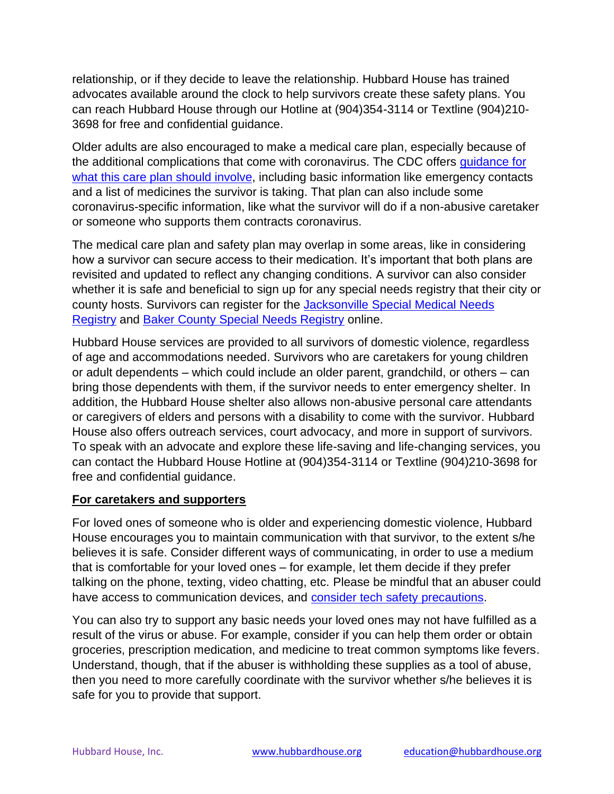relationship, or if they decide to leave the relationship. Hubbard House has trained advocates available around the clock to help survivors create these safety plans. You can reach Hubbard House through our Hotline at (904)354-3114 or Textline (904)210- 3698 for free and confidential guidance.

Older adults are also encouraged to make a medical care plan, especially because of the additional complications that come with coronavirus. The CDC offers [guidance for](https://www.cdc.gov/aging/publications/features/caregivers-month.html)  [what this care plan should involve,](https://www.cdc.gov/aging/publications/features/caregivers-month.html) including basic information like emergency contacts and a list of medicines the survivor is taking. That plan can also include some coronavirus-specific information, like what the survivor will do if a non-abusive caretaker or someone who supports them contracts coronavirus.

The medical care plan and safety plan may overlap in some areas, like in considering how a survivor can secure access to their medication. It's important that both plans are revisited and updated to reflect any changing conditions. A survivor can also consider whether it is safe and beneficial to sign up for any special needs registry that their city or county hosts. Survivors can register for the Jacksonville [Special Medical Needs](https://www.coj.net/specialmedicalneeds)  [Registry](https://www.coj.net/specialmedicalneeds) and [Baker County Special Needs Registry](https://snr.floridadisaster.org/Signin?client=baker) online.

Hubbard House services are provided to all survivors of domestic violence, regardless of age and accommodations needed. Survivors who are caretakers for young children or adult dependents – which could include an older parent, grandchild, or others – can bring those dependents with them, if the survivor needs to enter emergency shelter. In addition, the Hubbard House shelter also allows non-abusive personal care attendants or caregivers of elders and persons with a disability to come with the survivor. Hubbard House also offers outreach services, court advocacy, and more in support of survivors. To speak with an advocate and explore these life-saving and life-changing services, you can contact the Hubbard House Hotline at (904)354-3114 or Textline (904)210-3698 for free and confidential guidance.

## **For caretakers and supporters**

For loved ones of someone who is older and experiencing domestic violence, Hubbard House encourages you to maintain communication with that survivor, to the extent s/he believes it is safe. Consider different ways of communicating, in order to use a medium that is comfortable for your loved ones – for example, let them decide if they prefer talking on the phone, texting, video chatting, etc. Please be mindful that an abuser could have access to communication devices, and [consider tech safety precautions.](https://3ccb4628-b7d1-450e-ab87-0b91ad1770e0.filesusr.com/ugd/f00818_893e7ef350974740b9df6501b38c61b6.pdf)

You can also try to support any basic needs your loved ones may not have fulfilled as a result of the virus or abuse. For example, consider if you can help them order or obtain groceries, prescription medication, and medicine to treat common symptoms like fevers. Understand, though, that if the abuser is withholding these supplies as a tool of abuse, then you need to more carefully coordinate with the survivor whether s/he believes it is safe for you to provide that support.